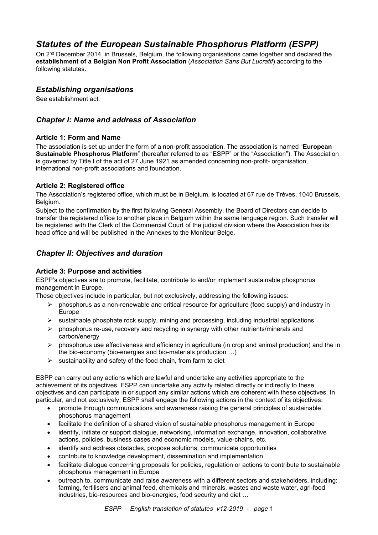# *Statutes of the European Sustainable Phosphorus Platform (ESPP)*

On 2<sup>nd</sup> December 2014, in Brussels, Belgium, the following organisations came together and declared the **establishment of a Belgian Non Profit Association** (*Association Sans But Lucratif*) according to the following statutes.

## *Establishing organisations*

See establishment act.

## *Chapter I: Name and address of Association*

### **Article 1: Form and Name**

The association is set up under the form of a non-profit association. The association is named "**European Sustainable Phosphorus Platform**" (hereafter referred to as "ESPP" or the "Association"). The Association is governed by Title I of the act of 27 June 1921 as amended concerning non-profit- organisation, international non-profit associations and foundation.

### **Article 2: Registered office**

The Association's registered office, which must be in Belgium, is located at 67 rue de Trèves, 1040 Brussels, Belgium.

Subject to the confirmation by the first following General Assembly, the Board of Directors can decide to transfer the registered office to another place in Belgium within the same language region. Such transfer will be registered with the Clerk of the Commercial Court of the judicial division where the Association has its head office and will be published in the Annexes to the Moniteur Belge.

# *Chapter II: Objectives and duration*

### **Article 3: Purpose and activities**

ESPP's objectives are to promote, facilitate, contribute to and/or implement sustainable phosphorus management in Europe.

These objectives include in particular, but not exclusively, addressing the following issues:

- $\triangleright$  phosphorus as a non-renewable and critical resource for agriculture (food supply) and industry in Europe
- $\triangleright$  sustainable phosphate rock supply, mining and processing, including industrial applications
- $\triangleright$  phosphorus re-use, recovery and recycling in synergy with other nutrients/minerals and carbon/energy
- $\triangleright$  phosphorus use effectiveness and efficiency in agriculture (in crop and animal production) and the in the bio-economy (bio-energies and bio-materials production …)
- $\triangleright$  sustainability and safety of the food chain, from farm to diet

ESPP can carry out any actions which are lawful and undertake any activities appropriate to the achievement of its objectives. ESPP can undertake any activity related directly or indirectly to these objectives and can participate in or support any similar actions which are coherent with these objectives. In particular, and not exclusively, ESPP shall engage the following actions in the context of its objectives:

- promote through communications and awareness raising the general principles of sustainable phosphorus management
- facilitate the definition of a shared vision of sustainable phosphorus management in Europe
- identify, initiate or support dialogue, networking, information exchange, innovation, collaborative actions, policies, business cases and economic models, value-chains, etc.
- identify and address obstacles, propose solutions, communicate opportunities
- contribute to knowledge development, dissemination and implementation
- facilitate dialogue concerning proposals for policies, regulation or actions to contribute to sustainable phosphorus management in Europe
- outreach to, communicate and raise awareness with a different sectors and stakeholders, including: farming, fertilisers and animal feed, chemicals and minerals, wastes and waste water, agri-food industries, bio-resources and bio-energies, food security and diet …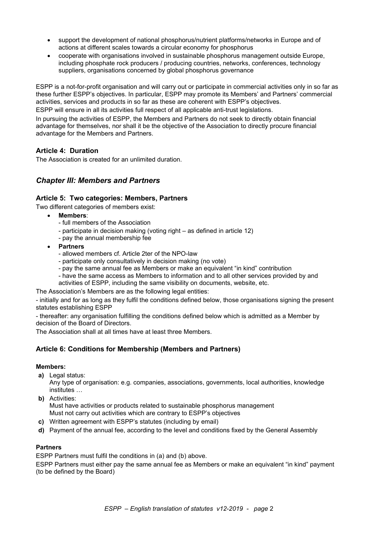- support the development of national phosphorus/nutrient platforms/networks in Europe and of actions at different scales towards a circular economy for phosphorus
- cooperate with organisations involved in sustainable phosphorus management outside Europe, including phosphate rock producers / producing countries, networks, conferences, technology suppliers, organisations concerned by global phosphorus governance

ESPP is a not-for-profit organisation and will carry out or participate in commercial activities only in so far as these further ESPP's objectives. In particular, ESPP may promote its Members' and Partners' commercial activities, services and products in so far as these are coherent with ESPP's objectives.

ESPP will ensure in all its activities full respect of all applicable anti-trust legislations.

In pursuing the activities of ESPP, the Members and Partners do not seek to directly obtain financial advantage for themselves, nor shall it be the objective of the Association to directly procure financial advantage for the Members and Partners.

## **Article 4: Duration**

The Association is created for an unlimited duration.

# *Chapter III: Members and Partners*

## **Article 5: Two categories: Members, Partners**

Two different categories of members exist:

- **Members**:
	- full members of the Association
	- participate in decision making (voting right as defined in article 12)
	- pay the annual membership fee
- **Partners**
	- allowed members cf. Article 2ter of the NPO-law
	- participate only consultatively in decision making (no vote)
	- pay the same annual fee as Members or make an equivalent "in kind" contribution
	- have the same access as Members to information and to all other services provided by and activities of ESPP, including the same visibility on documents, website, etc.

The Association's Members are as the following legal entities:

- initially and for as long as they fulfil the conditions defined below, those organisations signing the present

statutes establishing ESPP

- thereafter: any organisation fulfilling the conditions defined below which is admitted as a Member by decision of the Board of Directors.

The Association shall at all times have at least three Members.

# **Article 6: Conditions for Membership (Members and Partners)**

### **Members:**

**a)** Legal status:

Any type of organisation: e.g. companies, associations, governments, local authorities, knowledge institutes …

**b)** Activities:

Must have activities or products related to sustainable phosphorus management Must not carry out activities which are contrary to ESPP's objectives

- **c)** Written agreement with ESPP's statutes (including by email)
- **d)** Payment of the annual fee, according to the level and conditions fixed by the General Assembly

### **Partners**

ESPP Partners must fulfil the conditions in (a) and (b) above.

ESPP Partners must either pay the same annual fee as Members or make an equivalent "in kind" payment (to be defined by the Board)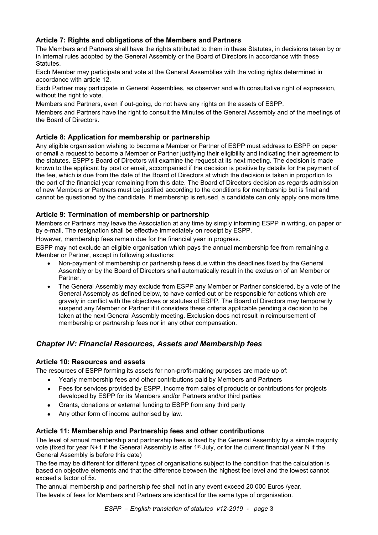## **Article 7: Rights and obligations of the Members and Partners**

The Members and Partners shall have the rights attributed to them in these Statutes, in decisions taken by or in internal rules adopted by the General Assembly or the Board of Directors in accordance with these Statutes.

Each Member may participate and vote at the General Assemblies with the voting rights determined in accordance with article 12.

Each Partner may participate in General Assemblies, as observer and with consultative right of expression, without the right to vote.

Members and Partners, even if out-going, do not have any rights on the assets of ESPP.

Members and Partners have the right to consult the Minutes of the General Assembly and of the meetings of the Board of Directors.

## **Article 8: Application for membership or partnership**

Any eligible organisation wishing to become a Member or Partner of ESPP must address to ESPP on paper or email a request to become a Member or Partner justifying their eligibility and indicating their agreement to the statutes. ESPP's Board of Directors will examine the request at its next meeting. The decision is made known to the applicant by post or email, accompanied if the decision is positive by details for the payment of the fee, which is due from the date of the Board of Directors at which the decision is taken in proportion to the part of the financial year remaining from this date. The Board of Directors decision as regards admission of new Members or Partners must be justified according to the conditions for membership but is final and cannot be questioned by the candidate. If membership is refused, a candidate can only apply one more time.

### **Article 9: Termination of membership or partnership**

Members or Partners may leave the Association at any time by simply informing ESPP in writing, on paper or by e-mail. The resignation shall be effective immediately on receipt by ESPP.

However, membership fees remain due for the financial year in progress.

ESPP may not exclude an eligible organisation which pays the annual membership fee from remaining a Member or Partner, except in following situations:

- Non-payment of membership or partnership fees due within the deadlines fixed by the General Assembly or by the Board of Directors shall automatically result in the exclusion of an Member or Partner.
- The General Assembly may exclude from ESPP any Member or Partner considered, by a vote of the General Assembly as defined below, to have carried out or be responsible for actions which are gravely in conflict with the objectives or statutes of ESPP. The Board of Directors may temporarily suspend any Member or Partner if it considers these criteria applicable pending a decision to be taken at the next General Assembly meeting. Exclusion does not result in reimbursement of membership or partnership fees nor in any other compensation.

# *Chapter IV: Financial Resources, Assets and Membership fees*

## **Article 10: Resources and assets**

The resources of ESPP forming its assets for non-profit-making purposes are made up of:

- Yearly membership fees and other contributions paid by Members and Partners
- Fees for services provided by ESPP, income from sales of products or contributions for projects developed by ESPP for its Members and/or Partners and/or third parties
- Grants, donations or external funding to ESPP from any third party
- Any other form of income authorised by law.

### **Article 11: Membership and Partnership fees and other contributions**

The level of annual membership and partnership fees is fixed by the General Assembly by a simple majority vote (fixed for year N+1 if the General Assembly is after 1st July, or for the current financial year N if the General Assembly is before this date)

The fee may be different for different types of organisations subject to the condition that the calculation is based on objective elements and that the difference between the highest fee level and the lowest cannot exceed a factor of 5x.

The annual membership and partnership fee shall not in any event exceed 20 000 Euros /year. The levels of fees for Members and Partners are identical for the same type of organisation.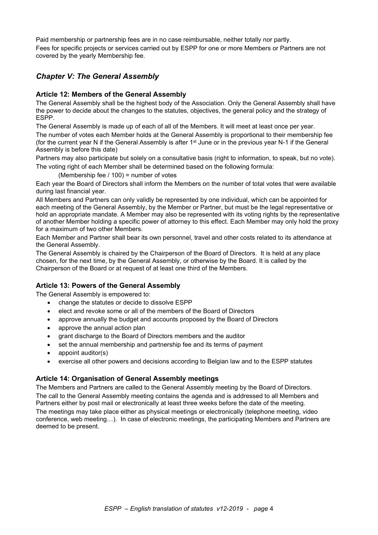Paid membership or partnership fees are in no case reimbursable, neither totally nor partly. Fees for specific projects or services carried out by ESPP for one or more Members or Partners are not covered by the yearly Membership fee.

# *Chapter V: The General Assembly*

## **Article 12: Members of the General Assembly**

The General Assembly shall be the highest body of the Association. Only the General Assembly shall have the power to decide about the changes to the statutes, objectives, the general policy and the strategy of ESPP.

The General Assembly is made up of each of all of the Members. It will meet at least once per year.

The number of votes each Member holds at the General Assembly is proportional to their membership fee (for the current year N if the General Assembly is after 1st June or in the previous year N-1 if the General Assembly is before this date)

Partners may also participate but solely on a consultative basis (right to information, to speak, but no vote). The voting right of each Member shall be determined based on the following formula:

(Membership fee / 100) = number of votes

Each year the Board of Directors shall inform the Members on the number of total votes that were available during last financial year.

All Members and Partners can only validly be represented by one individual, which can be appointed for each meeting of the General Assembly, by the Member or Partner, but must be the legal representative or hold an appropriate mandate. A Member may also be represented with its voting rights by the representative of another Member holding a specific power of attorney to this effect. Each Member may only hold the proxy for a maximum of two other Members.

Each Member and Partner shall bear its own personnel, travel and other costs related to its attendance at the General Assembly.

The General Assembly is chaired by the Chairperson of the Board of Directors. It is held at any place chosen, for the next time, by the General Assembly, or otherwise by the Board. It is called by the Chairperson of the Board or at request of at least one third of the Members.

# **Article 13: Powers of the General Assembly**

The General Assembly is empowered to:

- change the statutes or decide to dissolve ESPP
- elect and revoke some or all of the members of the Board of Directors
- approve annually the budget and accounts proposed by the Board of Directors
- approve the annual action plan
- grant discharge to the Board of Directors members and the auditor
- set the annual membership and partnership fee and its terms of payment
- appoint auditor(s)
- exercise all other powers and decisions according to Belgian law and to the ESPP statutes

## **Article 14: Organisation of General Assembly meetings**

The Members and Partners are called to the General Assembly meeting by the Board of Directors. The call to the General Assembly meeting contains the agenda and is addressed to all Members and Partners either by post mail or electronically at least three weeks before the date of the meeting. The meetings may take place either as physical meetings or electronically (telephone meeting, video conference, web meeting…). In case of electronic meetings, the participating Members and Partners are deemed to be present.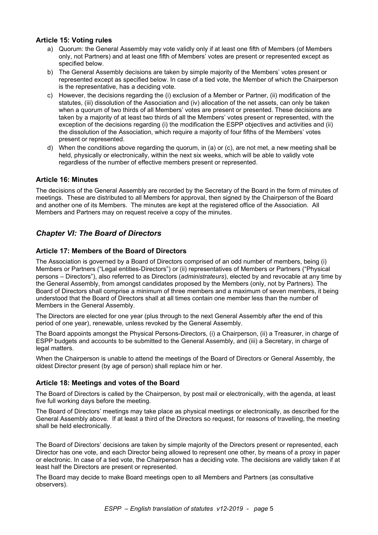### **Article 15: Voting rules**

- a) Quorum: the General Assembly may vote validly only if at least one fifth of Members (of Members only, not Partners) and at least one fifth of Members' votes are present or represented except as specified below.
- b) The General Assembly decisions are taken by simple majority of the Members' votes present or represented except as specified below. In case of a tied vote, the Member of which the Chairperson is the representative, has a deciding vote.
- c) However, the decisions regarding the (i) exclusion of a Member or Partner, (ii) modification of the statutes, (iii) dissolution of the Association and (iv) allocation of the net assets, can only be taken when a quorum of two thirds of all Members' votes are present or presented. These decisions are taken by a majority of at least two thirds of all the Members' votes present or represented, with the exception of the decisions regarding (i) the modification the ESPP objectives and activities and (ii) the dissolution of the Association, which require a majority of four fifths of the Members' votes present or represented.
- d) When the conditions above regarding the quorum, in (a) or (c), are not met, a new meeting shall be held, physically or electronically, within the next six weeks, which will be able to validly vote regardless of the number of effective members present or represented.

### **Article 16: Minutes**

The decisions of the General Assembly are recorded by the Secretary of the Board in the form of minutes of meetings. These are distributed to all Members for approval, then signed by the Chairperson of the Board and another one of its Members. The minutes are kept at the registered office of the Association. All Members and Partners may on request receive a copy of the minutes.

# *Chapter VI: The Board of Directors*

## **Article 17: Members of the Board of Directors**

The Association is governed by a Board of Directors comprised of an odd number of members, being (i) Members or Partners ("Legal entities-Directors") or (ii) representatives of Members or Partners ("Physical persons – Directors"), also referred to as Directors (*administrateurs*), elected by and revocable at any time by the General Assembly, from amongst candidates proposed by the Members (only, not by Partners). The Board of Directors shall comprise a minimum of three members and a maximum of seven members, it being understood that the Board of Directors shall at all times contain one member less than the number of Members in the General Assembly.

The Directors are elected for one year (plus through to the next General Assembly after the end of this period of one year), renewable, unless revoked by the General Assembly.

The Board appoints amongst the Physical Persons-Directors, (i) a Chairperson, (ii) a Treasurer, in charge of ESPP budgets and accounts to be submitted to the General Assembly, and (iii) a Secretary, in charge of legal matters.

When the Chairperson is unable to attend the meetings of the Board of Directors or General Assembly, the oldest Director present (by age of person) shall replace him or her.

### **Article 18: Meetings and votes of the Board**

The Board of Directors is called by the Chairperson, by post mail or electronically, with the agenda, at least five full working days before the meeting.

The Board of Directors' meetings may take place as physical meetings or electronically, as described for the General Assembly above. If at least a third of the Directors so request, for reasons of travelling, the meeting shall be held electronically.

The Board of Directors' decisions are taken by simple majority of the Directors present or represented, each Director has one vote, and each Director being allowed to represent one other, by means of a proxy in paper or electronic. In case of a tied vote, the Chairperson has a deciding vote. The decisions are validly taken if at least half the Directors are present or represented.

The Board may decide to make Board meetings open to all Members and Partners (as consultative observers).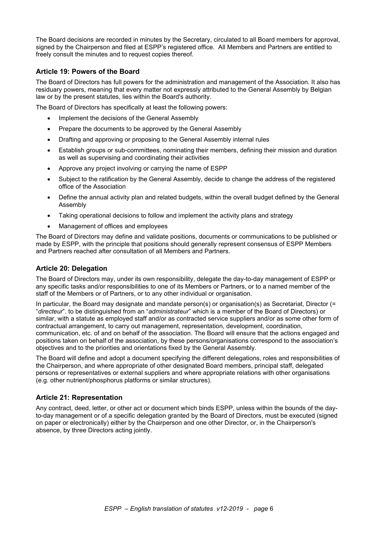The Board decisions are recorded in minutes by the Secretary, circulated to all Board members for approval, signed by the Chairperson and filed at ESPP's registered office. All Members and Partners are entitled to freely consult the minutes and to request copies thereof.

### **Article 19: Powers of the Board**

The Board of Directors has full powers for the administration and management of the Association. It also has residuary powers, meaning that every matter not expressly attributed to the General Assembly by Belgian law or by the present statutes, lies within the Board's authority.

The Board of Directors has specifically at least the following powers:

- Implement the decisions of the General Assembly
- Prepare the documents to be approved by the General Assembly
- Drafting and approving or proposing to the General Assembly internal rules
- Establish groups or sub-committees, nominating their members, defining their mission and duration as well as supervising and coordinating their activities
- Approve any project involving or carrying the name of ESPP
- Subject to the ratification by the General Assembly, decide to change the address of the registered office of the Association
- Define the annual activity plan and related budgets, within the overall budget defined by the General Assembly
- Taking operational decisions to follow and implement the activity plans and strategy
- Management of offices and employees

The Board of Directors may define and validate positions, documents or communications to be published or made by ESPP, with the principle that positions should generally represent consensus of ESPP Members and Partners reached after consultation of all Members and Partners.

### **Article 20: Delegation**

The Board of Directors may, under its own responsibility, delegate the day-to-day management of ESPP or any specific tasks and/or responsibilities to one of its Members or Partners, or to a named member of the staff of the Members or of Partners, or to any other individual or organisation.

In particular, the Board may designate and mandate person(s) or organisation(s) as Secretariat, Director (= "*directeur*". to be distinguished from an "*administrateur*" which is a member of the Board of Directors) or similar, with a statute as employed staff and/or as contracted service suppliers and/or as some other form of contractual arrangement, to carry out management, representation, development, coordination, communication, etc. of and on behalf of the association. The Board will ensure that the actions engaged and positions taken on behalf of the association, by these persons/organisations correspond to the association's objectives and to the priorities and orientations fixed by the General Assembly.

The Board will define and adopt a document specifying the different delegations, roles and responsibilities of the Chairperson, and where appropriate of other designated Board members, principal staff, delegated persons or representatives or external suppliers and where appropriate relations with other organisations (e.g. other nutrient/phosphorus platforms or similar structures).

### **Article 21: Representation**

Any contract, deed, letter, or other act or document which binds ESPP, unless within the bounds of the dayto-day management or of a specific delegation granted by the Board of Directors, must be executed (signed on paper or electronically) either by the Chairperson and one other Director, or, in the Chairperson's absence, by three Directors acting jointly.